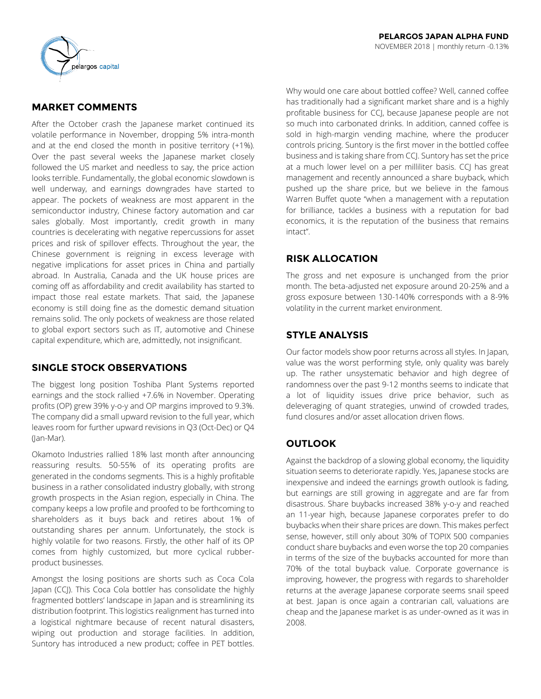

# **MARKET COMMENTS**

After the October crash the Japanese market continued its volatile performance in November, dropping 5% intra-month and at the end closed the month in positive territory (+1%). Over the past several weeks the Japanese market closely followed the US market and needless to say, the price action looks terrible. Fundamentally, the global economic slowdown is well underway, and earnings downgrades have started to appear. The pockets of weakness are most apparent in the semiconductor industry, Chinese factory automation and car sales globally. Most importantly, credit growth in many countries is decelerating with negative repercussions for asset prices and risk of spillover effects. Throughout the year, the Chinese government is reigning in excess leverage with negative implications for asset prices in China and partially abroad. In Australia, Canada and the UK house prices are coming off as affordability and credit availability has started to impact those real estate markets. That said, the Japanese economy is still doing fine as the domestic demand situation remains solid. The only pockets of weakness are those related to global export sectors such as IT, automotive and Chinese capital expenditure, which are, admittedly, not insignificant.

# **SINGLE STOCK OBSERVATIONS**

The biggest long position Toshiba Plant Systems reported earnings and the stock rallied +7.6% in November. Operating profits (OP) grew 39% y-o-y and OP margins improved to 9.3%. The company did a small upward revision to the full year, which leaves room for further upward revisions in Q3 (Oct-Dec) or Q4 (Jan-Mar).

Okamoto Industries rallied 18% last month after announcing reassuring results. 50-55% of its operating profits are generated in the condoms segments. This is a highly profitable business in a rather consolidated industry globally, with strong growth prospects in the Asian region, especially in China. The company keeps a low profile and proofed to be forthcoming to shareholders as it buys back and retires about 1% of outstanding shares per annum. Unfortunately, the stock is highly volatile for two reasons. Firstly, the other half of its OP comes from highly customized, but more cyclical rubberproduct businesses.

Amongst the losing positions are shorts such as Coca Cola Japan (CCJ). This Coca Cola bottler has consolidate the highly fragmented bottlers' landscape in Japan and is streamlining its distribution footprint. This logistics realignment has turned into a logistical nightmare because of recent natural disasters, wiping out production and storage facilities. In addition, Suntory has introduced a new product; coffee in PET bottles. Why would one care about bottled coffee? Well, canned coffee has traditionally had a significant market share and is a highly profitable business for CCJ, because Japanese people are not so much into carbonated drinks. In addition, canned coffee is sold in high-margin vending machine, where the producer controls pricing. Suntory is the first mover in the bottled coffee business and is taking share from CCJ. Suntory has set the price at a much lower level on a per milliliter basis. CCJ has great management and recently announced a share buyback, which pushed up the share price, but we believe in the famous Warren Buffet quote "when a management with a reputation for brilliance, tackles a business with a reputation for bad economics, it is the reputation of the business that remains intact".

# **RISK ALLOCATION**

The gross and net exposure is unchanged from the prior month. The beta-adjusted net exposure around 20-25% and a gross exposure between 130-140% corresponds with a 8-9% volatility in the current market environment.

# **STYLE ANALYSIS**

Our factor models show poor returns across all styles. In Japan, value was the worst performing style, only quality was barely up. The rather unsystematic behavior and high degree of randomness over the past 9-12 months seems to indicate that a lot of liquidity issues drive price behavior, such as deleveraging of quant strategies, unwind of crowded trades, fund closures and/or asset allocation driven flows.

# **OUTLOOK**

Against the backdrop of a slowing global economy, the liquidity situation seems to deteriorate rapidly. Yes, Japanese stocks are inexpensive and indeed the earnings growth outlook is fading, but earnings are still growing in aggregate and are far from disastrous. Share buybacks increased 38% y-o-y and reached an 11-year high, because Japanese corporates prefer to do buybacks when their share prices are down. This makes perfect sense, however, still only about 30% of TOPIX 500 companies conduct share buybacks and even worse the top 20 companies in terms of the size of the buybacks accounted for more than 70% of the total buyback value. Corporate governance is improving, however, the progress with regards to shareholder returns at the average Japanese corporate seems snail speed at best. Japan is once again a contrarian call, valuations are cheap and the Japanese market is as under-owned as it was in 2008.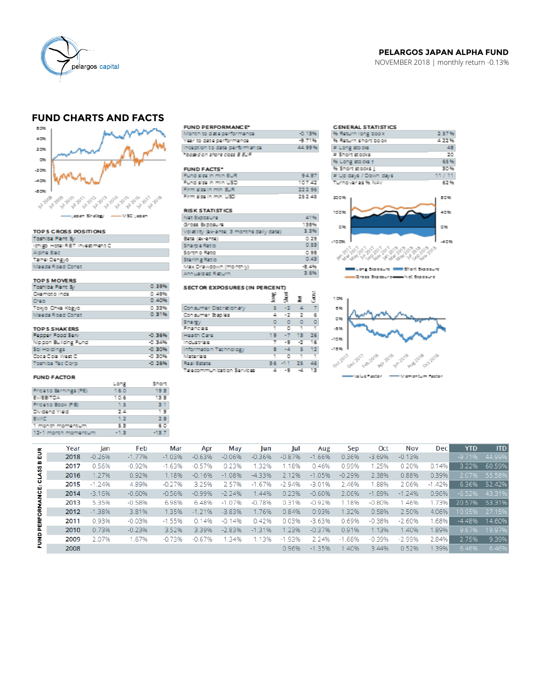

#### PELARGOS JAPAN ALPHA FUND NOVEMBER 2018 | monthly return -0.13%

# **FUND CHARTS AND FACTS**



### TOP 5 CROSS POSITIONS

| <b>Toshiba Plant Sy</b>       |
|-------------------------------|
| ichigo Hotel RBT investment C |
| Alpha Eko                     |
| Talhel Dengyo                 |
| Maeda Road Const              |

# TOP 5 MOVERS<br>Toshiba Plant Sy

| Ckamoto Inds     | 0.49% |
|------------------|-------|
| Cress            | 0.40% |
| Tokyo Chka Kogyo | 0.33% |
| Maeda Road Const | 0.31% |
|                  |       |
| TOP 5 SHAKERS    |       |

0.59%

| <b>Pepper Food Serv</b> | -0.36% |
|-------------------------|--------|
| Nippon Building Fund    | -0.34% |
| Still Holdings          | -0.30% |
| Coca Cola West C        | -0.30% |
| Toshiba Tec Corp.       | -0.26% |

#### **FUND FACTOR**

|                       | Long   | Short |
|-----------------------|--------|-------|
| Priceto Barnings (PE) | 16.0   | 19.B  |
| EWEBTDA               | 10.6   | 13.8  |
| Priceto Book (PB)     | 1.5    | 33.   |
| Dividend Yield        | 24     | 1.9   |
| <b>EVAC</b>           | 1.2    | 2.B   |
| 1 month momentum      | 5.3    | 60    |
| 12-1 month momentum   | $-1.3$ | -13.7 |

#### FUND PERFORMANCE\*

| Vionth to date performance    | -0.13% |
|-------------------------------|--------|
| fear to date performance      | -9.71% |
| nception to date performance. | 44.99% |
| abose d'on shore closs B BUR  |        |
|                               |        |

| <b>FUND FACTS*</b>    |         |
|-----------------------|---------|
| fund size in min EUR  | 94.87   |
| Fund size in min USD. | 107.47  |
| irm size in min BUR   | 222.961 |
| Firm size in min USD. | 252.45  |

#### **RISK STATISTICS**

Consumer Discretionary

Information Technology

Telecommunication Services

Consumer Staples

Energy<br>Financials

Health Care

ndustrials

Materials

Real Estate

| Vet Exposure                              | 41%     |
|-------------------------------------------|---------|
| Snoss Buposuna                            | 138%    |
| /olatility (ex-ante; 3 months daily data) | 5.5%    |
| Beta (lex-ante)                           | 0.79    |
| <b>JapeRatio</b>                          | 0.53    |
| Sortin o Ratio                            | 0.98    |
| sterling Ratio                            | 0.43    |
| Max Drawdown (monthly)                    | $-8.4%$ |
| Ann uailzed Return                        | 3.6%    |

g

s.

4

7 ٠g  $\cdot$ 16

z ÷g.  $\mathcal{L}$ 13

19 - 7

眞

 $\overline{2}$  $\overline{z}$ 

훛

 $\rightarrow$  $\mathbf{-2}$ 

> $13<sub>1</sub>$  $\bf 26$

 $\begin{array}{ccccccccc} 0 & 0 & 0 & 0 & 0 \\ 1 & 0 & 1 & 1 \end{array}$ 

 $\mathsf{B} = \{4, \ldots, \mathsf{S} \} \subset \mathsf{12}$ 

36 - 11 - 25 - 46

 $\circ$ 

ÿ

 $\frac{7}{6}$ 

SECTOR EXPOSURES (IN PERCENT)

#### **CENERAL STATISTICS** 2.57% % Return long book<br>% Return short book 4.22%  $-48$  $\#$  Long stocks # Short stocks 20 65% % Long stocks f % Short stocks | 30% e shunskoods<br># Up days / Down days<br>Turnover as % NAV 17.11 62%



Long Exposure IIII Short Exposure -Cross Expenuncesse Net Exposure



|                 | Year | lan       | Feb      | Mar      | Apr      | May      | lun      | Jul      | Aug      | Sep      | Oct      | Nov      | <b>Dec</b> | <b>YTD</b>    | <b>ITD</b>    |
|-----------------|------|-----------|----------|----------|----------|----------|----------|----------|----------|----------|----------|----------|------------|---------------|---------------|
| EUR<br>LASS B   | 2018 | $-0.26%$  | $-1.77%$ | $-1.03%$ | $-0.63%$ | $-0.06%$ | $-0.36%$ | $-0.87%$ | $-1.66%$ | 0.36%    | $-3.69%$ | $-0.13%$ |            |               | -9.71% 44.99% |
|                 | 2017 | 0.56%     | $-0.92%$ | $-1.63%$ | $-0.57%$ | 0.23%    | 1.32%    | 1.18%    | 0.46%    | 0.99%    | 1.25%    | 0.20%    | 0.14%      | 3.22%         | 60.59%        |
|                 | 2016 | 1.27%     | 0.92%    | 1.18%    | $-0.16%$ | $-1.08%$ | $-4.33%$ | 2.12%    | $-1.05%$ | $-0.29%$ | 2.38%    | 0.88%    | 0.39%      | 2.07%         | 55.58%        |
| ပ<br>           | 2015 | $-1, 24%$ | 4.89%    | $-0.27%$ | 3 2 5 %  | 2.57%    | $-1.67%$ | $-2.94%$ | $-3.01%$ | 2.46%    | .88%     | 2.06%    | $-1.42\%$  | 6.36%         | 52.42%        |
| <b>UCE</b>      | 2014 | $-3.16%$  | $-0.60%$ | $-0.56%$ | $-0.99%$ | $-2.24%$ | 1.44%    | 0.23%    | $-0.60%$ | 2.06%    | $-1.89%$ | $-1.24%$ | 0.96%      | $-6.52%$      | 43.31%        |
|                 | 2013 | 5.35%     | $-0.58%$ | 6.98%    | 648%     | $-1.07%$ | $-0.78%$ | 0.31%    | $-0.92%$ | 1.18%    | $-0.80%$ | 1.46%    | 1.73%      | 20.57% 53.31% |               |
| <b>PERFORMA</b> | 2012 | $-1.38%$  | 3.81%    | 1.35%    | $-1.21%$ | $-3.83%$ | 1.76%    | 0.84%    | 0.93%    | 1.32%    | 0.58%    | 2.50%    | 4.06%      |               | 10.95% 27.15% |
|                 | 2011 | 0.93%     | $-0.03%$ | $-1.55%$ | 0.14%    | $-0.14%$ | 0.42%    | 0.03%    | $-3.63%$ | 0.69%    | $-0.38%$ | $-2.60%$ | 1.68%      | $-4.48%$      | 14.60%        |
|                 | 2010 | 0.73%     | $-0.23%$ | 3.52%    | 3.39%    | $-2.83%$ | $-1.31%$ | 1.23%    | $-0.37%$ | 0.91%    | 1.13%    | 1.40%    | 1.89%      |               | 9.67% 19.97%  |
| FUND            | 2009 | 2.07%     | 1.67%    | $-0.73%$ | $-0.67%$ | 1.34%    | 1.13%    | $-1.93%$ | 2.24%    | $-1.68%$ | $-0.39%$ | $-2.99%$ | 2.84%      | 2.75%         | 9.39%         |
|                 | 2008 |           |          |          |          |          |          | 0.96%    | $-1.35%$ | 1.40%    | 3.44%    | 0.52%    | 1.39%      | 6.46%         | 6.46%         |
|                 |      |           |          |          |          |          |          |          |          |          |          |          |            |               |               |